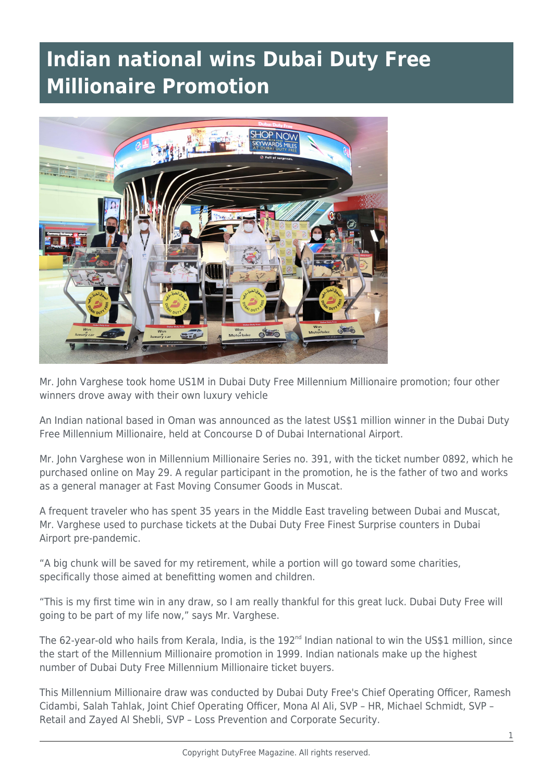## **Indian national wins Dubai Duty Free Millionaire Promotion**



Mr. John Varghese took home US1M in Dubai Duty Free Millennium Millionaire promotion; four other winners drove away with their own luxury vehicle

An Indian national based in Oman was announced as the latest US\$1 million winner in the Dubai Duty Free Millennium Millionaire, held at Concourse D of Dubai International Airport.

Mr. John Varghese won in Millennium Millionaire Series no. 391, with the ticket number 0892, which he purchased online on May 29. A regular participant in the promotion, he is the father of two and works as a general manager at Fast Moving Consumer Goods in Muscat.

A frequent traveler who has spent 35 years in the Middle East traveling between Dubai and Muscat, Mr. Varghese used to purchase tickets at the Dubai Duty Free Finest Surprise counters in Dubai Airport pre-pandemic.

"A big chunk will be saved for my retirement, while a portion will go toward some charities, specifically those aimed at benefitting women and children.

"This is my first time win in any draw, so I am really thankful for this great luck. Dubai Duty Free will going to be part of my life now," says Mr. Varghese.

The 62-year-old who hails from Kerala, India, is the 192<sup>nd</sup> Indian national to win the US\$1 million, since the start of the Millennium Millionaire promotion in 1999. Indian nationals make up the highest number of Dubai Duty Free Millennium Millionaire ticket buyers.

This Millennium Millionaire draw was conducted by Dubai Duty Free's Chief Operating Officer, Ramesh Cidambi, Salah Tahlak, Joint Chief Operating Officer, Mona Al Ali, SVP – HR, Michael Schmidt, SVP – Retail and Zayed Al Shebli, SVP – Loss Prevention and Corporate Security.